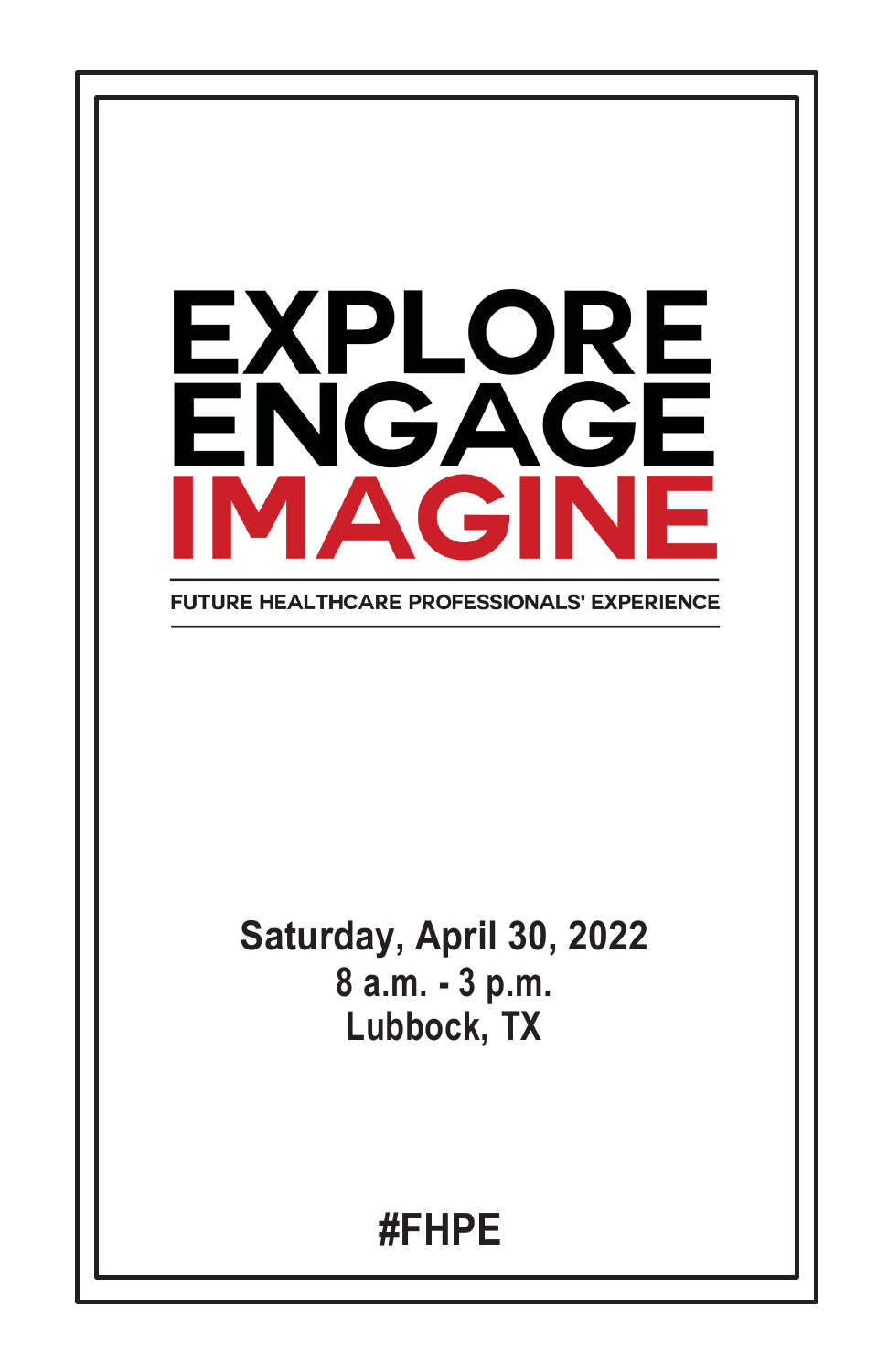

**FUTURE HEALTHCARE PROFESSIONALS' EXPERIENCE** 

### **Saturday, April 30, 2022 8 a.m. - 3 p.m. Lubbock, TX**

### **#FHPE**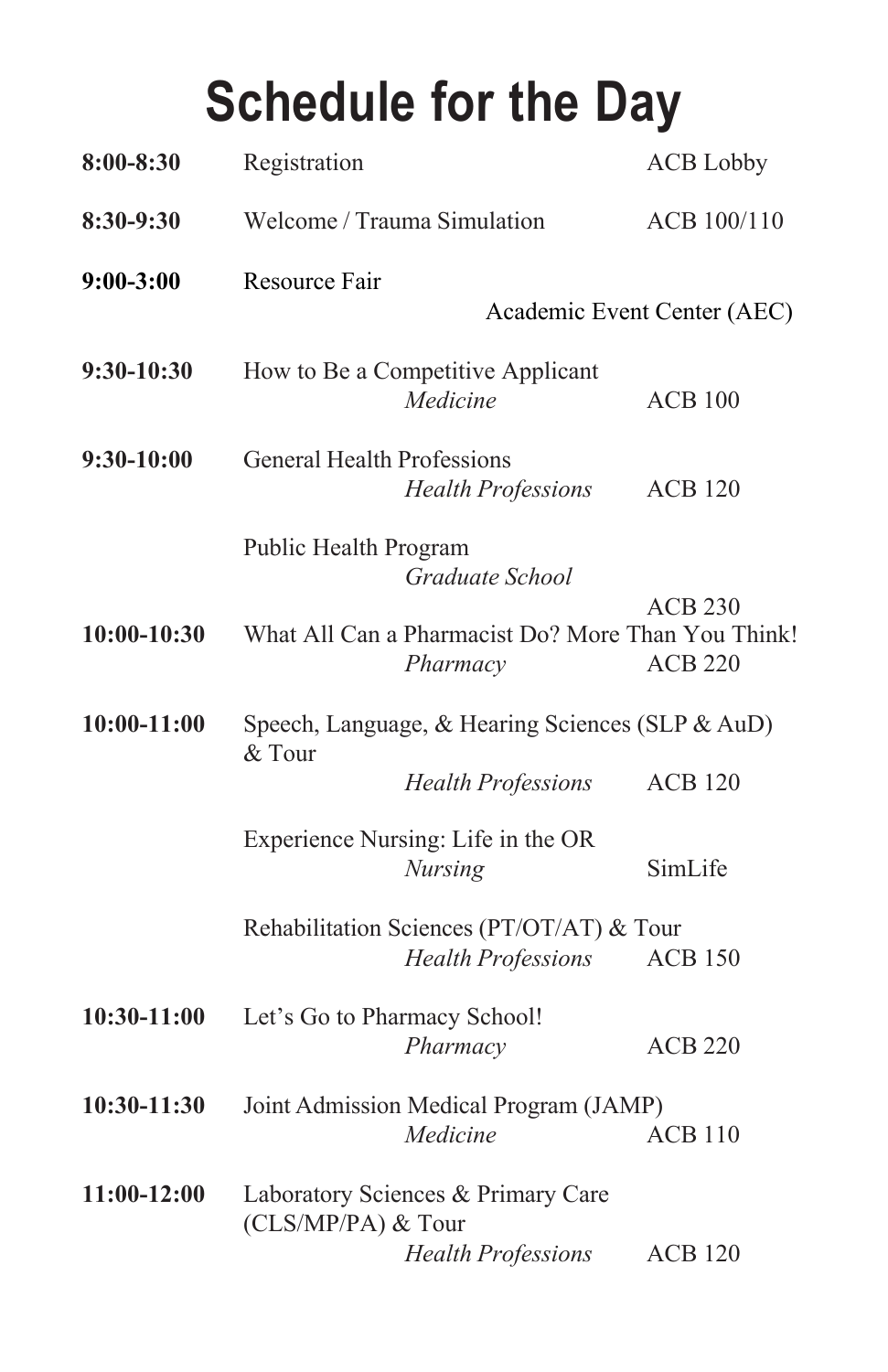# **Schedule for the Day**

| 8:00-8:30     | Registration                                               |                                                                        | <b>ACB</b> Lobby                 |
|---------------|------------------------------------------------------------|------------------------------------------------------------------------|----------------------------------|
| 8:30-9:30     | Welcome / Trauma Simulation                                |                                                                        | ACB 100/110                      |
| $9:00-3:00$   | Resource Fair                                              |                                                                        | Academic Event Center (AEC)      |
| 9:30-10:30    |                                                            | How to Be a Competitive Applicant<br>Medicine                          | <b>ACB 100</b>                   |
| 9:30-10:00    | <b>General Health Professions</b>                          | <b>Health Professions</b>                                              | <b>ACB 120</b>                   |
|               | Public Health Program                                      | Graduate School                                                        |                                  |
| $10:00-10:30$ |                                                            | What All Can a Pharmacist Do? More Than You Think!<br>Pharmacy         | <b>ACB 230</b><br><b>ACB 220</b> |
| $10:00-11:00$ | Speech, Language, & Hearing Sciences (SLP & AuD)<br>& Tour |                                                                        |                                  |
|               |                                                            | <b>Health Professions</b>                                              | <b>ACB 120</b>                   |
|               |                                                            | Experience Nursing: Life in the OR<br><b>Nursing</b>                   | SimLife                          |
|               |                                                            | Rehabilitation Sciences (PT/OT/AT) & Tour<br><b>Health Professions</b> | <b>ACB 150</b>                   |
| 10:30-11:00   | Let's Go to Pharmacy School!                               | Pharmacy                                                               | <b>ACB 220</b>                   |
| 10:30-11:30   |                                                            | Joint Admission Medical Program (JAMP)<br>Medicine                     | <b>ACB 110</b>                   |
| 11:00-12:00   | Laboratory Sciences & Primary Care<br>(CLS/MP/PA) & Tour   |                                                                        |                                  |
|               |                                                            | <b>Health Professions</b>                                              | <b>ACB 120</b>                   |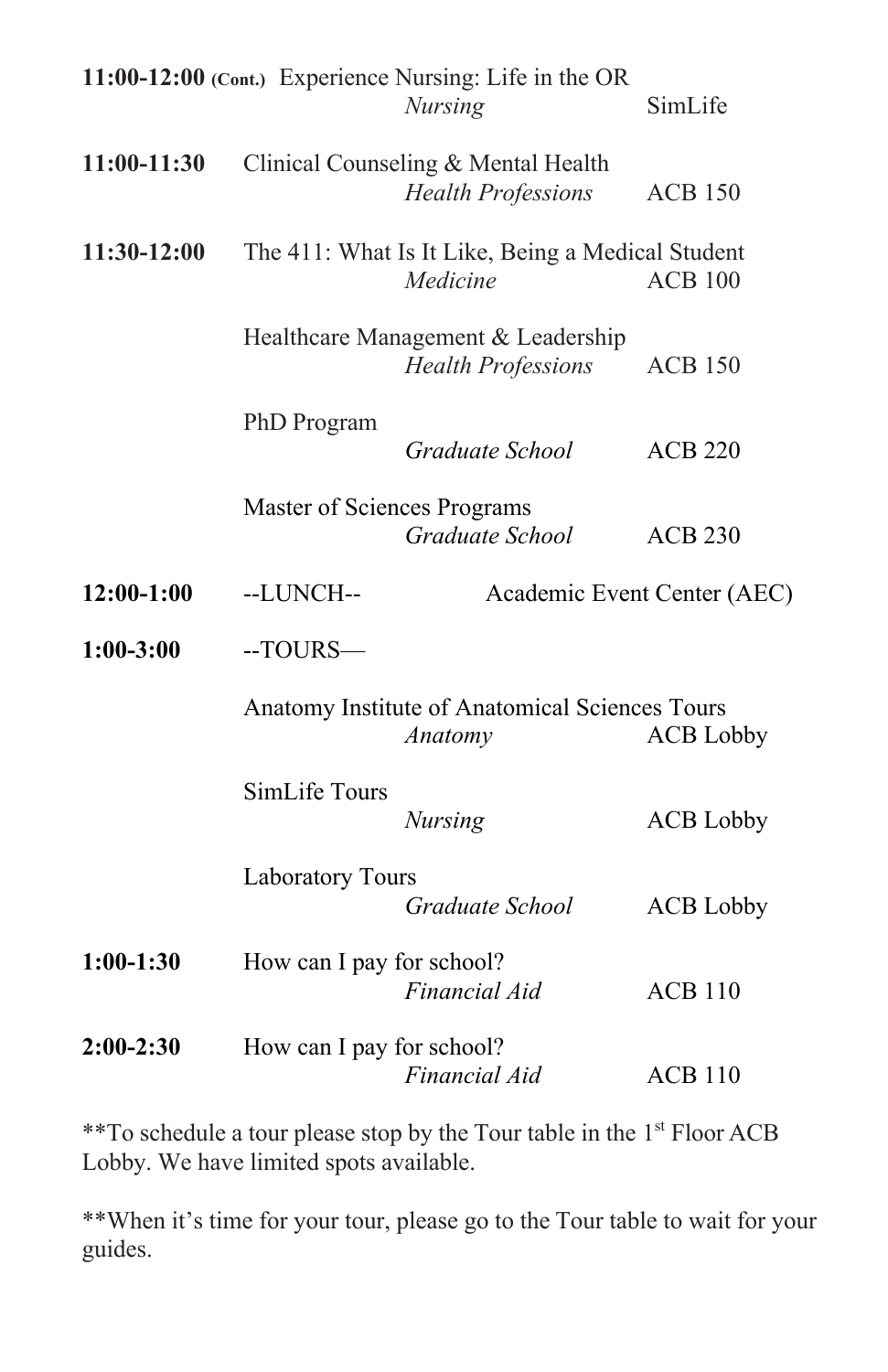|               |                                                                               | 11:00-12:00 (Cont.) Experience Nursing: Life in the OR<br><b>Nursing</b> | SimLife          |
|---------------|-------------------------------------------------------------------------------|--------------------------------------------------------------------------|------------------|
| 11:00-11:30   |                                                                               | Clinical Counseling & Mental Health<br><b>Health Professions</b>         | <b>ACB 150</b>   |
| $11:30-12:00$ |                                                                               | The 411: What Is It Like, Being a Medical Student<br>Medicine            | <b>ACB 100</b>   |
|               |                                                                               | Healthcare Management & Leadership<br><b>Health Professions</b>          | <b>ACB 150</b>   |
|               | PhD Program                                                                   | Graduate School                                                          | <b>ACB 220</b>   |
|               | Master of Sciences Programs                                                   | Graduate School                                                          | <b>ACB 230</b>   |
| $12:00-1:00$  | --LUNCH--                                                                     | Academic Event Center (AEC)                                              |                  |
| $1:00-3:00$   | $-TOURS -$                                                                    |                                                                          |                  |
|               | Anatomy Institute of Anatomical Sciences Tours<br>Anatomy<br><b>ACB</b> Lobby |                                                                          |                  |
|               | SimLife Tours                                                                 | <b>Nursing</b>                                                           | <b>ACB</b> Lobby |
|               | Laboratory Tours                                                              | Graduate School                                                          | <b>ACB</b> Lobby |
| $1:00-1:30$   | How can I pay for school?                                                     | Financial Aid                                                            | <b>ACB 110</b>   |
|               |                                                                               |                                                                          |                  |

\*\*To schedule a tour please stop by the Tour table in the 1st Floor ACB Lobby. We have limited spots available.

\*\*When it's time for your tour, please go to the Tour table to wait for your guides.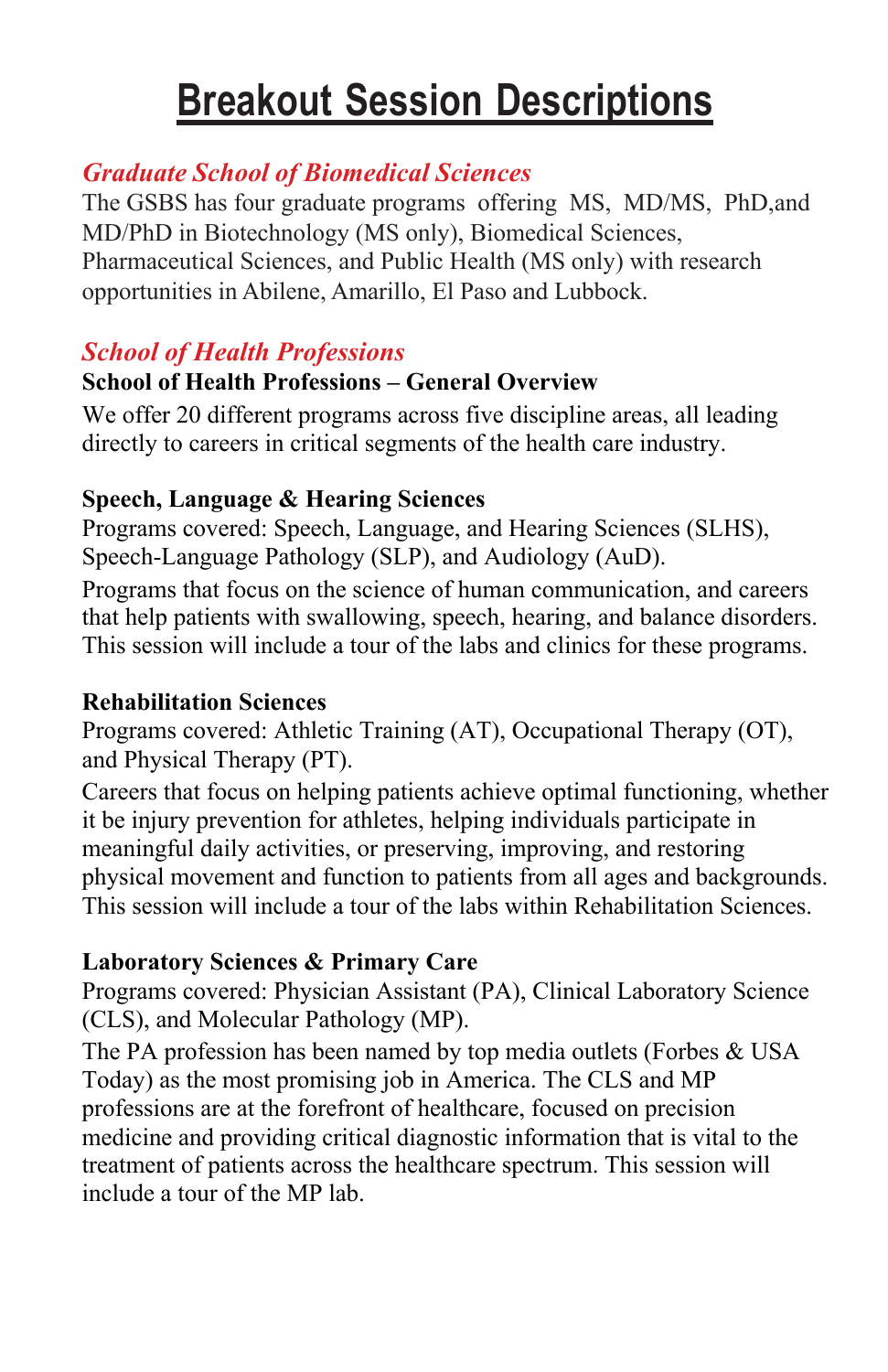### **Breakout Session Descriptions**

#### *Graduate School of Biomedical Sciences*

The GSBS has four graduate programs offering MS, MD/MS, PhD,and MD/PhD in Biotechnology (MS only), Biomedical Sciences, Pharmaceutical Sciences, and Public Health (MS only) with research opportunities in Abilene, Amarillo, El Paso and Lubbock.

#### *School of Health Professions*

#### **School of Health Professions – General Overview**

We offer 20 different programs across five discipline areas, all leading directly to careers in critical segments of the health care industry.

#### **Speech, Language & Hearing Sciences**

Programs covered: Speech, Language, and Hearing Sciences (SLHS), Speech-Language Pathology (SLP), and Audiology (AuD). Programs that focus on the science of human communication, and careers that help patients with swallowing, speech, hearing, and balance disorders. This session will include a tour of the labs and clinics for these programs.

#### **Rehabilitation Sciences**

Programs covered: Athletic Training (AT), Occupational Therapy (OT), and Physical Therapy (PT).

Careers that focus on helping patients achieve optimal functioning, whether it be injury prevention for athletes, helping individuals participate in meaningful daily activities, or preserving, improving, and restoring physical movement and function to patients from all ages and backgrounds. This session will include a tour of the labs within Rehabilitation Sciences.

#### **Laboratory Sciences & Primary Care**

Programs covered: Physician Assistant (PA), Clinical Laboratory Science (CLS), and Molecular Pathology (MP).

The PA profession has been named by top media outlets (Forbes & USA Today) as the most promising job in America. The CLS and MP professions are at the forefront of healthcare, focused on precision medicine and providing critical diagnostic information that is vital to the treatment of patients across the healthcare spectrum. This session will include a tour of the MP lab.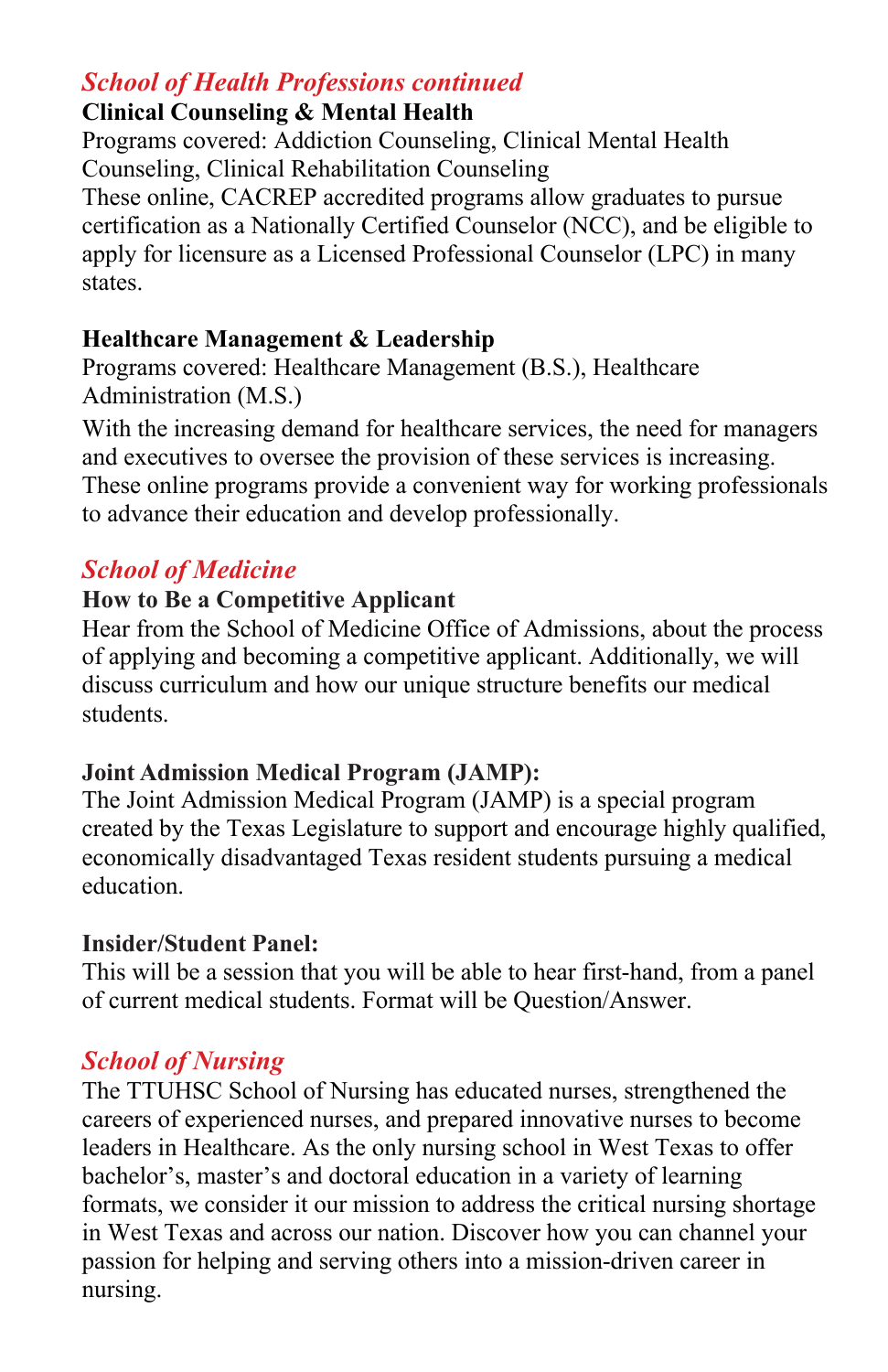#### *School of Health Professions continued*

#### **Clinical Counseling & Mental Health**

Programs covered: Addiction Counseling, Clinical Mental Health Counseling, Clinical Rehabilitation Counseling These online, CACREP accredited programs allow graduates to pursue certification as a Nationally Certified Counselor (NCC), and be eligible to apply for licensure as a Licensed Professional Counselor (LPC) in many states.

#### **Healthcare Management & Leadership**

Programs covered: Healthcare Management (B.S.), Healthcare Administration (M.S.)

With the increasing demand for healthcare services, the need for managers and executives to oversee the provision of these services is increasing. These online programs provide a convenient way for working professionals to advance their education and develop professionally.

#### *School of Medicine*

#### **How to Be a Competitive Applicant**

Hear from the School of Medicine Office of Admissions, about the process of applying and becoming a competitive applicant. Additionally, we will discuss curriculum and how our unique structure benefits our medical students.

#### **Joint Admission Medical Program (JAMP):**

The Joint Admission Medical Program (JAMP) is a special program created by the Texas Legislature to support and encourage highly qualified, economically disadvantaged Texas resident students pursuing a medical education.

#### **Insider/Student Panel:**

This will be a session that you will be able to hear first-hand, from a panel of current medical students. Format will be Question/Answer.

#### *School of Nursing*

The TTUHSC School of Nursing has educated nurses, strengthened the careers of experienced nurses, and prepared innovative nurses to become leaders in Healthcare. As the only nursing school in West Texas to offer bachelor's, master's and doctoral education in a variety of learning formats, we consider it our mission to address the critical nursing shortage in West Texas and across our nation. Discover how you can channel your passion for helping and serving others into a mission-driven career in nursing.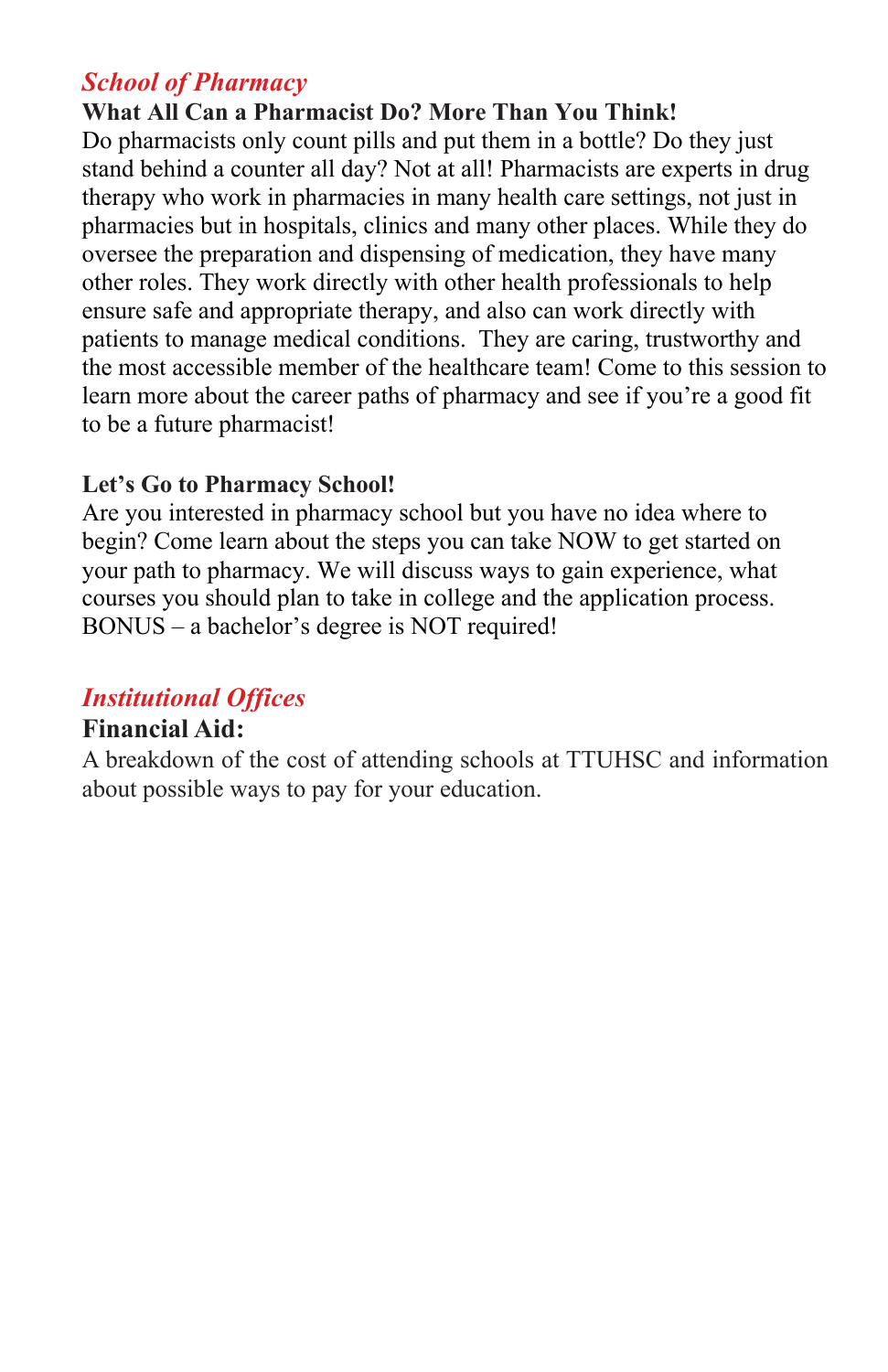#### *School of Pharmacy*

**What All Can a Pharmacist Do? More Than You Think!** Do pharmacists only count pills and put them in a bottle? Do they just stand behind a counter all day? Not at all! Pharmacists are experts in drug therapy who work in pharmacies in many health care settings, not just in pharmacies but in hospitals, clinics and many other places. While they do oversee the preparation and dispensing of medication, they have many other roles. They work directly with other health professionals to help ensure safe and appropriate therapy, and also can work directly with patients to manage medical conditions. They are caring, trustworthy and the most accessible member of the healthcare team! Come to this session to learn more about the career paths of pharmacy and see if you're a good fit to be a future pharmacist!

#### **Let's Go to Pharmacy School!**

Are you interested in pharmacy school but you have no idea where to begin? Come learn about the steps you can take NOW to get started on your path to pharmacy. We will discuss ways to gain experience, what courses you should plan to take in college and the application process. BONUS – a bachelor's degree is NOT required!

#### *Institutional Offices*

#### **Financial Aid:**

A breakdown of the cost of attending schools at TTUHSC and information about possible ways to pay for your education.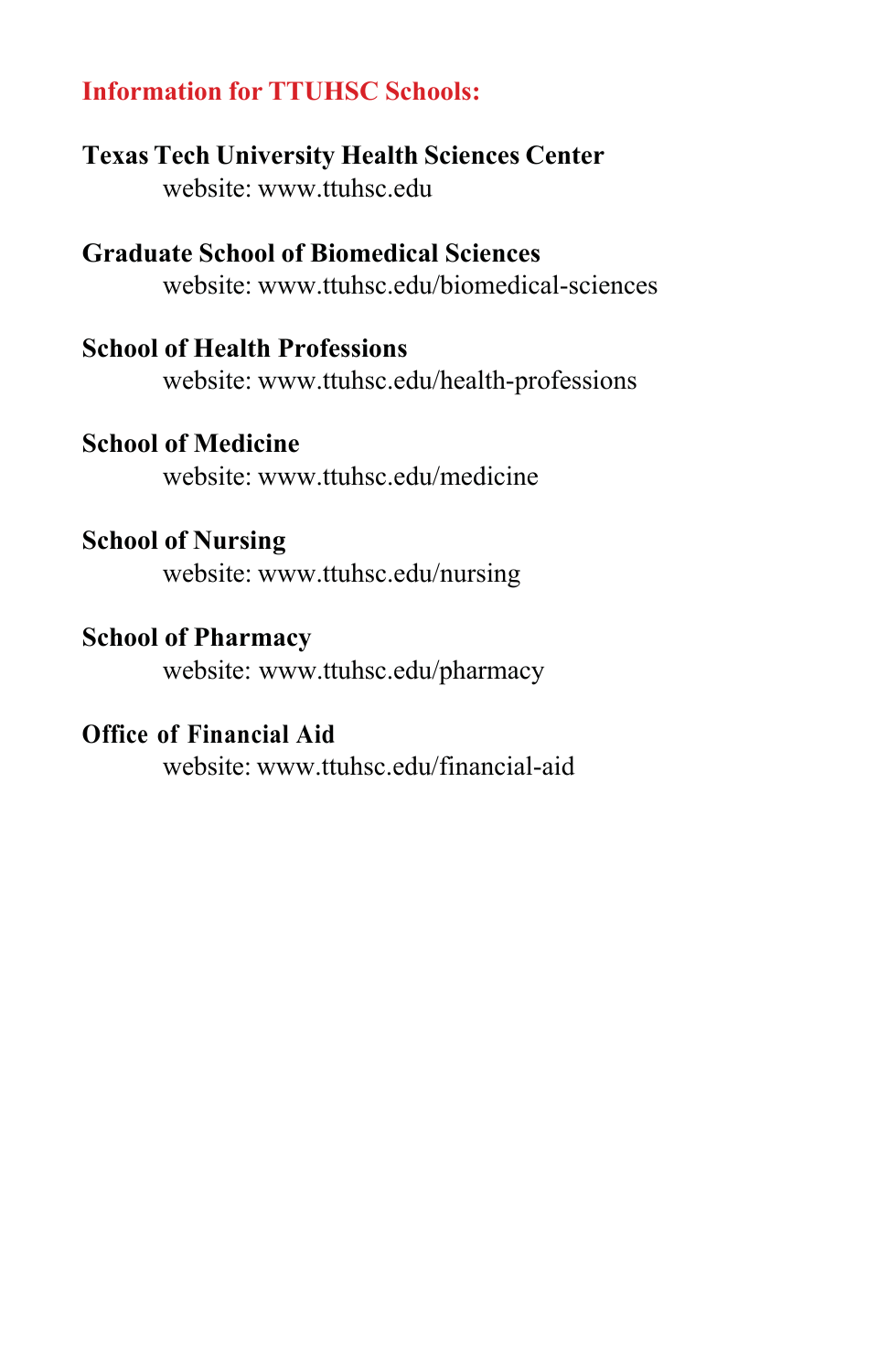#### **Information for TTUHSC Schools:**

**Texas Tech University Health Sciences Center** website: www.ttuhsc.edu

**Graduate School of Biomedical Sciences** website: www.ttuhsc.edu/biomedical-sciences

#### **School of Health Professions**

website: www.ttuhsc.edu/health-professions

#### **School of Medicine**

website: www.ttuhsc.edu/medicine

#### **School of Nursing**

website: www.ttuhsc.edu/nursing

#### **School of Pharmacy**

website: www.ttuhsc.edu/pharmacy

#### **Office of Financial Aid**

website: www.ttuhsc.edu/financial-aid